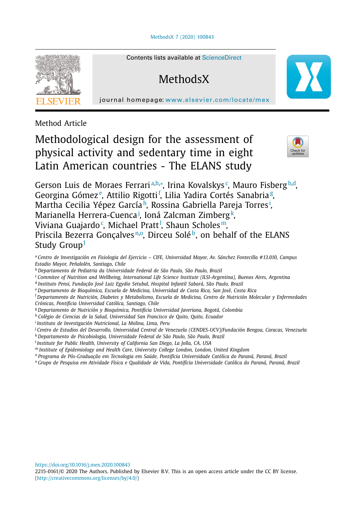[MethodsX](https://doi.org/10.1016/j.mex.2020.100843) 7 (2020) 100843



Contents lists available at [ScienceDirect](http://www.ScienceDirect.com)

**MethodsX** 

journal homepage: [www.elsevier.com/locate/mex](http://www.elsevier.com/locate/mex)

Method Article

# Methodological design for the assessment of physical activity and sedentary time in eight Latin American countries - The ELANS study



Gerson Luis de Moraes Ferrariª<sup>,b,</sup>\*, Irina Kovalskys¢, Mauro Fisberg<sup>b,d</sup>, Georgina Gómez<sup>e</sup>, Attilio Rigotti<sup>f</sup>, Lilia Yadira Cortés Sanabria<sup>g</sup>, Martha Cecilia Yépez Garcíah, Rossina Gabriella Pareja Torres<sup>i</sup>, Marianella Herrera-Cuenca<sup>j</sup>, Ioná Zalcman Zimberg<sup>k</sup>, Viviana Guajardo¢, Michael Pratt<sup>1</sup>, Shaun Scholes™, Priscila Bezerra Gonçalves<sup>n,o</sup>, Dirceu Soléb, on behalf of the ELANS Study Group<sup>[1](#page-1-0)</sup>

- <sup>a</sup> *Centro de Investigación en Fisiologia del Ejercicio CIFE, Universidad Mayor, Av. Sánchez Fontecilla #13.010, Campus Estadio Mayor, Peñalolén, Santiago, Chile*
- <sup>b</sup> *Departamento de Pediatria da Universidade Federal de São Paulo, São Paulo, Brazil*
- <sup>c</sup> *Commitee of Nutrition and Wellbeing, International Life Science Institute (ILSI-Argentina), Buenos Aires, Argentina*
- <sup>d</sup> *Instituto Pensi, Fundação José Luiz Egydio Setubal, Hospital Infantil Sabará, São Paulo, Brazil*
- <sup>e</sup> *Departamento de Bioquímica, Escuela de Medicina, Universidad de Costa Rica, San José, Costa Rica*
- <sup>f</sup> *Departamento de Nutrición, Diabetes y Metabolismo, Escuela de Medicina, Centro de Nutrición Molecular y Enfermedades Crónicas, Pontificia Universidad Católica, Santiago, Chile*
- <sup>g</sup> *Departamento de Nutrición y Bioquímica, Pontificia Universidad Javeriana, Bogotá, Colombia*
- <sup>h</sup> *Colégio de Ciencias de la Salud, Universidad San Francisco de Quito, Quito, Ecuador*
- <sup>i</sup> *Instituto de Investigación Nutricional, La Molina, Lima, Peru*
- <sup>j</sup> *Centro de Estudios del Desarrollo, Universidad Central de Venezuela (CENDES-UCV)/Fundación Bengoa, Caracas, Venezuela* <sup>k</sup> *Departamento de Psicobiologia, Universidade Federal de São Paulo, São Paulo, Brazil*
- <sup>l</sup> *Institute for Public Health, University of California San Diego, La Jolla, CA, USA*
- <sup>m</sup> *Institute of Epidemiology and Health Care, University College London, London, United Kingdom*
- <sup>n</sup> *Programa de Pós-Graduação em Tecnologia em Saúde, Pontifícia Universidade Católica do Paraná, Paraná, Brazil*
- <sup>o</sup> Grupo de Pesquisa em Atividade Física e Oualidade de Vida, Pontifícia Universidade Católica do Paraná, Paraná, Brazil

<https://doi.org/10.1016/j.mex.2020.100843>

2215-0161/© 2020 The Authors. Published by Elsevier B.V. This is an open access article under the CC BY license. [\(http://creativecommons.org/licenses/by/4.0/\)](http://creativecommons.org/licenses/by/4.0/)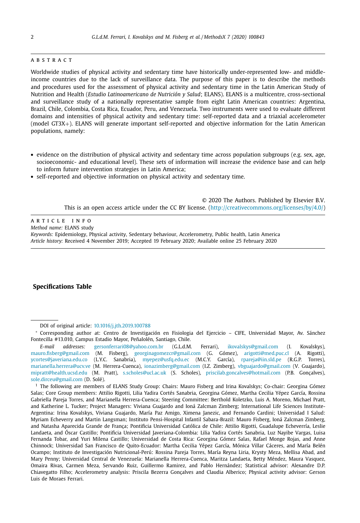### <span id="page-1-0"></span>a b s t r a c t

Worldwide studies of physical activity and sedentary time have historically under-represented low- and middleincome countries due to the lack of surveillance data. The purpose of this paper is to describe the methods and procedures used for the assessment of physical activity and sedentary time in the Latin American Study of Nutrition and Health (*Estudio Latinoamericano de Nutrición y Salud*; ELANS). ELANS is a multicentre, cross-sectional and surveillance study of a nationally representative sample from eight Latin American countries: Argentina, Brazil, Chile, Colombia, Costa Rica, Ecuador, Peru, and Venezuela. Two instruments were used to evaluate different domains and intensities of physical activity and sedentary time: self-reported data and a triaxial accelerometer (model GT3X+). ELANS will generate important self-reported and objective information for the Latin American populations, namely:

- evidence on the distribution of physical activity and sedentary time across population subgroups (e.g. sex, age, socioeconomic- and educational level). These sets of information will increase the evidence base and can help to inform future intervention strategies in Latin America;
- self-reported and objective information on physical activity and sedentary time.

© 2020 The Authors. Published by Elsevier B.V. This is an open access article under the CC BY license. [\(http://creativecommons.org/licenses/by/4.0/\)](http://creativecommons.org/licenses/by/4.0/)

# a r t i c l e i n f o

*Method name:* ELANS study

*Keywords:* Epidemiology, Physical activity, Sedentary behaviour, Accelerometry, Public health, Latin America *Article history:* Received 4 November 2019; Accepted 19 February 2020; Available online 25 February 2020

## **Specifications Table**

DOI of original article: [10.1016/j.jth.2019.100788](https://doi.org/10.1016/j.jth.2019.100788)

<sup>∗</sup> Corresponding author at: Centro de Investigación en Fisiologia del Ejercicio – CIFE, Universidad Mayor, Av. Sánchez Fontecilla #13.010, Campus Estadio Mayor, Peñalolén, Santiago, Chile.

*E-mail addresses:* [gersonferrari08@yahoo.com.br](mailto:gersonferrari08@yahoo.com.br) (G.L.d.M. Ferrari), [ikovalskys@gmail.com](mailto:ikovalskys@gmail.com) (I. Kovalskys), [mauro.fisberg@gmail.com](mailto:mauro.fisberg@gmail.com) (M. Fisberg), [georginagomezcr@gmail.com](mailto:georginagomezcr@gmail.com) (G. Gómez), [arigotti@med.puc.cl](mailto:arigotti@med.puc.cl) (A. Rigotti), [ycortes@javeriana.edu.co](mailto:ycortes@javeriana.edu.co) (L.Y.C. Sanabria), [myepez@usfq.edu.ec](mailto:myepez@usfq.edu.ec) (M.C.Y. García), [rpareja@iin.sld.pe](mailto:rpareja@iin.sld.pe) (R.G.P. Torres), [marianella.herrera@ucv.ve](mailto:marianella.herrera@ucv.ve) (M. Herrera-Cuenca), [ionazimberg@gmail.com](mailto:ionazimberg@gmail.com) (I.Z. Zimberg), [vbguajardo@gmail.com](mailto:vbguajardo@gmail.com) (V. Guajardo), [mipratt@health.ucsd.edu](mailto:mipratt@health.ucsd.edu) (M. Pratt), [s.scholes@ucl.ac.uk](mailto:s.scholes@ucl.ac.uk) (S. Scholes), [priscilab.goncalves@hotmail.com](mailto:priscilab.goncalves@hotmail.com) (P.B. Gonçalves), [sole.dirceu@gmail.com](mailto:sole.dirceu@gmail.com) (D. Solé).

<sup>1</sup> The following are members of ELANS Study Group: Chairs: Mauro Fisberg and Irina Kovalskys; Co-chair: Georgina Gómez Salas; Core Group members: Attilio Rigotti, Lilia Yadira Cortés Sanabria, Georgina Gómez, Martha Cecilia Yépez García, Rossina Gabriella Pareja Torres, and Marianella Herrera-Cuenca; Steering Committee: Berthold Koletzko, Luis A. Moreno, Michael Pratt, and Katherine L. Tucker; Project Managers: Viviana Guajardo and Ioná Zalcman Zimberg; International Life Sciences Institute-Argentina: Irina Kovalskys, Viviana Guajardo, María Paz Amigo, Ximena Janezic, and Fernando Cardini; Universidad I Salud: Myriam Echeverry and Martin Langsman; Instituto Pensi-Hospital Infantil Sabara-Brazil: Mauro Fisberg, Ioná Zalcman Zimberg, and Natasha Aparecida Grande de França; Pontificia Universidad Católica de Chile: Attilio Rigotti, Guadalupe Echeverría, Leslie Landaeta, and Óscar Castillo; Pontificia Universidad Javeriana-Colombia: Lilia Yadira Cortés Sanabria, Luz Nayibe Vargas, Luisa Fernanda Tobar, and Yuri Milena Castillo; Universidad de Costa Rica: Georgina Gómez Salas, Rafael Monge Rojas, and Anne Chinnock; Universidad San Francisco de Quito-Ecuador: Martha Cecilia Yépez García, Mónica Villar Cáceres, and María Belén Ocampo; Instituto de Investigación Nutricional-Perú: Rossina Pareja Torres, María Reyna Liria, Krysty Meza, Mellisa Abad, and Mary Penny; Universidad Central de Venezuela: Marianella Herrera-Cuenca, Maritza Landaeta, Betty Méndez, Maura Vasquez, Omaira Rivas, Carmen Meza, Servando Ruiz, Guillermo Ramirez, and Pablo Hernández; Statistical advisor: Alexandre D.P. Chiavegatto Filho; Accelerometry analysis: Priscila Bezerra Gonçalves and Claudia Alberico; Physical activity advisor: Gerson Luis de Moraes Ferrari.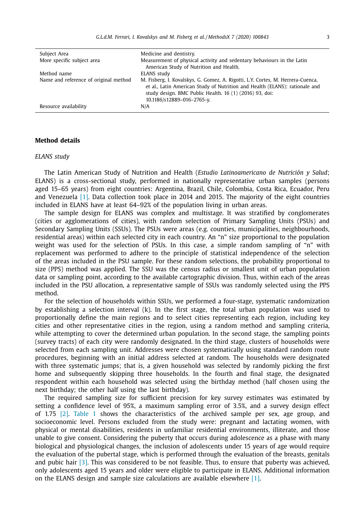| Subject Area                          | Medicine and dentistry.                                                                                                                                                                                                                                 |
|---------------------------------------|---------------------------------------------------------------------------------------------------------------------------------------------------------------------------------------------------------------------------------------------------------|
| More specific subject area            | Measurement of physical activity and sedentary behaviours in the Latin<br>American Study of Nutrition and Health.                                                                                                                                       |
| Method name                           | ELANS study                                                                                                                                                                                                                                             |
| Name and reference of original method | M. Fisberg, I. Kovalskys, G. Gomez, A. Rigotti, L.Y. Cortes, M. Herrera-Cuenca,<br>et al., Latin American Study of Nutrition and Health (ELANS): rationale and<br>study design. BMC Public Health. 16 (1) (2016) 93, doi:<br>10.1186/s12889-016-2765-y. |
| Resource availability                 | N/A                                                                                                                                                                                                                                                     |

# **Method details**

## *ELANS study*

The Latin American Study of Nutrition and Health (*Estudio Latinoamericano de Nutrición y Salud*; ELANS) is a cross-sectional study, performed in nationally representative urban samples (persons aged 15–65 years) from eight countries: Argentina, Brazil, Chile, Colombia, Costa Rica, Ecuador, Peru and Venezuela [\[1\].](#page-12-0) Data collection took place in 2014 and 2015. The majority of the eight countries included in ELANS have at least 64–92% of the population living in urban areas.

The sample design for ELANS was complex and multistage. It was stratified by conglomerates (cities or agglomerations of cities), with random selection of Primary Sampling Units (PSUs) and Secondary Sampling Units (SSUs). The PSUs were areas (e.g. counties, municipalities, neighbourhoods, residential areas) within each selected city in each country. An "n" size proportional to the population weight was used for the selection of PSUs. In this case, a simple random sampling of "n" with replacement was performed to adhere to the principle of statistical independence of the selection of the areas included in the PSU sample. For these random selections, the probability proportional to size (PPS) method was applied. The SSU was the census radius or smallest unit of urban population data or sampling point, according to the available cartographic division. Thus, within each of the areas included in the PSU allocation, a representative sample of SSUs was randomly selected using the PPS method.

For the selection of households within SSUs, we performed a four-stage, systematic randomization by establishing a selection interval (k). In the first stage, the total urban population was used to proportionally define the main regions and to select cities representing each region, including key cities and other representative cities in the region, using a random method and sampling criteria, while attempting to cover the determined urban population. In the second stage, the sampling points (survey tracts) of each city were randomly designated. In the third stage, clusters of households were selected from each sampling unit. Addresses were chosen systematically using standard random route procedures, beginning with an initial address selected at random. The households were designated with three systematic jumps; that is, a given household was selected by randomly picking the first home and subsequently skipping three households. In the fourth and final stage, the designated respondent within each household was selected using the birthday method (half chosen using the next birthday; the other half using the last birthday).

The required sampling size for sufficient precision for key survey estimates was estimated by setting a confidence level of 95%, a maximum sampling error of 3.5%, and a survey design effect of 1.75 [\[2\].](#page-12-0) [Table](#page-3-0) 1 shows the characteristics of the archived sample per sex, age group, and socioeconomic level. Persons excluded from the study were: pregnant and lactating women, with physical or mental disabilities, residents in unfamiliar residential environments, illiterate, and those unable to give consent. Considering the puberty that occurs during adolescence as a phase with many biological and physiological changes, the inclusion of adolescents under 15 years of age would require the evaluation of the pubertal stage, which is performed through the evaluation of the breasts, genitals and pubic hair [\[3\].](#page-12-0) This was considered to be not feasible. Thus, to ensure that puberty was achieved, only adolescents aged 15 years and older were eligible to participate in ELANS. Additional information on the ELANS design and sample size calculations are available elsewhere [\[1\].](#page-12-0)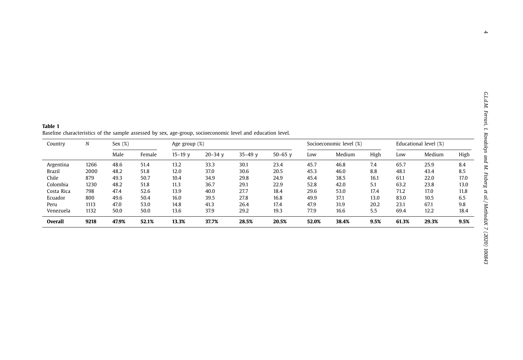<span id="page-3-0"></span>**Table 1** Baseline characteristics of the sample assessed by sex, age-group, socioeconomic level and education level.

| Country        | N    | Sex $(\%)$ |        | Age group $(\%)$ |             |             |             |       | Socioeconomic level (%) |      |       | Educational level (%) |      |
|----------------|------|------------|--------|------------------|-------------|-------------|-------------|-------|-------------------------|------|-------|-----------------------|------|
|                |      | Male       | Female | $15 - 19$ v      | $20 - 34$ v | $35 - 49$ v | $50 - 65$ v | Low   | Medium                  | High | Low   | Medium                | High |
| Argentina      | 1266 | 48.6       | 51.4   | 13.2             | 33.3        | 30.1        | 23.4        | 45.7  | 46.8                    | 7.4  | 65.7  | 25.9                  | 8.4  |
| <b>Brazil</b>  | 2000 | 48.2       | 51.8   | 12.0             | 37.0        | 30.6        | 20.5        | 45.3  | 46.0                    | 8.8  | 48.1  | 43.4                  | 8.5  |
| Chile          | 879  | 49.3       | 50.7   | 10.4             | 34.9        | 29.8        | 24.9        | 45.4  | 38.5                    | 16.1 | 61.1  | 22.0                  | 17.0 |
| Colombia       | 1230 | 48.2       | 51.8   | 11.3             | 36.7        | 29.1        | 22.9        | 52.8  | 42.0                    | 5.1  | 63.2  | 23.8                  | 13.0 |
| Costa Rica     | 798  | 47.4       | 52.6   | 13.9             | 40.0        | 27.7        | 18.4        | 29.6  | 53.0                    | 17.4 | 71.2  | 17.0                  | 11.8 |
| Ecuador        | 800  | 49.6       | 50.4   | 16.0             | 39.5        | 27.8        | 16.8        | 49.9  | 37.1                    | 13.0 | 83.0  | 10.5                  | 6.5  |
| Peru           | 1113 | 47.0       | 53.0   | 14.8             | 41.3        | 26.4        | 17.4        | 47.9  | 31.9                    | 20.2 | 23.1  | 67.1                  | 9.8  |
| Venezuela      | 1132 | 50.0       | 50.0   | 13.6             | 37.9        | 29.2        | 19.3        | 77.9  | 16.6                    | 5.5  | 69.4  | 12.2                  | 18.4 |
| <b>Overall</b> | 9218 | 47.9%      | 52.1%  | 13.3%            | 37.7%       | 28.5%       | 20.5%       | 52.0% | 38.4%                   | 9.5% | 61.3% | 29.3%                 | 9.5% |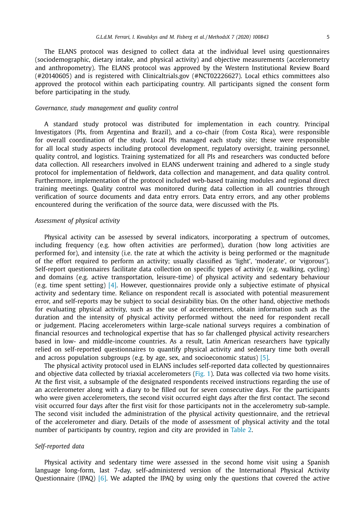The ELANS protocol was designed to collect data at the individual level using questionnaires (sociodemographic, dietary intake, and physical activity) and objective measurements (accelerometry and anthropometry). The ELANS protocol was approved by the Western Institutional Review Board (#20140605) and is registered with Clinicaltrials.gov (#NCT02226627). Local ethics committees also approved the protocol within each participating country. All participants signed the consent form before participating in the study.

### *Governance, study management and quality control*

A standard study protocol was distributed for implementation in each country. Principal Investigators (PIs, from Argentina and Brazil), and a co-chair (from Costa Rica), were responsible for overall coordination of the study. Local PIs managed each study site; these were responsible for all local study aspects including protocol development, regulatory oversight, training personnel, quality control, and logistics. Training systematized for all PIs and researchers was conducted before data collection. All researchers involved in ELANS underwent training and adhered to a single study protocol for implementation of fieldwork, data collection and management, and data quality control. Furthermore, implementation of the protocol included web-based training modules and regional direct training meetings. Quality control was monitored during data collection in all countries through verification of source documents and data entry errors. Data entry errors, and any other problems encountered during the verification of the source data, were discussed with the PIs.

### *Assessment of physical activity*

Physical activity can be assessed by several indicators, incorporating a spectrum of outcomes, including frequency (e.g. how often activities are performed), duration (how long activities are performed for), and intensity (i.e. the rate at which the activity is being performed or the magnitude of the effort required to perform an activity; usually classified as 'light', 'moderate', or 'vigorous'). Self-report questionnaires facilitate data collection on specific types of activity (e.g. walking, cycling) and domains (e.g. active transportation, leisure-time) of physical activity and sedentary behaviour (e.g. time spent setting) [\[4\].](#page-12-0) However, questionnaires provide only a subjective estimate of physical activity and sedentary time. Reliance on respondent recall is associated with potential measurement error, and self-reports may be subject to social desirability bias. On the other hand, objective methods for evaluating physical activity, such as the use of accelerometers, obtain information such as the duration and the intensity of physical activity performed without the need for respondent recall or judgement. Placing accelerometers within large-scale national surveys requires a combination of financial resources and technological expertise that has so far challenged physical activity researchers based in low- and middle-income countries. As a result, Latin American researchers have typically relied on self-reported questionnaires to quantify physical activity and sedentary time both overall and across population subgroups (e.g. by age, sex, and socioeconomic status)  $[5]$ .

The physical activity protocol used in ELANS includes self-reported data collected by questionnaires and objective data collected by triaxial accelerometers [\(Fig.](#page-5-0) 1). Data was collected via two home visits. At the first visit, a subsample of the designated respondents received instructions regarding the use of an accelerometer along with a diary to be filled out for seven consecutive days. For the participants who were given accelerometers, the second visit occurred eight days after the first contact. The second visit occurred four days after the first visit for those participants not in the accelerometry sub-sample. The second visit included the administration of the physical activity questionnaire, and the retrieval of the accelerometer and diary. Details of the mode of assessment of physical activity and the total number of participants by country, region and city are provided in [Table](#page-7-0) 2.

# *Self-reported data*

Physical activity and sedentary time were assessed in the second home visit using a Spanish language long-form, last 7-day, self-administered version of the International Physical Activity Questionnaire (IPAQ) [\[6\].](#page-12-0) We adapted the IPAQ by using only the questions that covered the active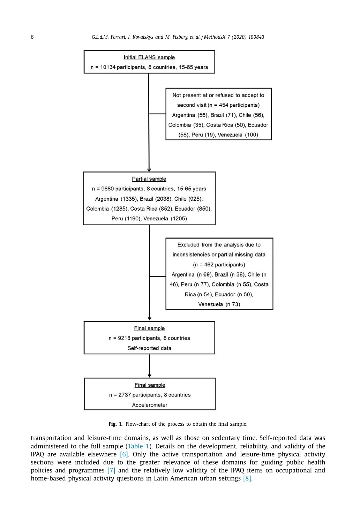<span id="page-5-0"></span>

**Fig. 1.** Flow-chart of the process to obtain the final sample.

transportation and leisure-time domains, as well as those on sedentary time. Self-reported data was administered to the full sample [\(Table](#page-3-0) 1). Details on the development, reliability, and validity of the IPAQ are available elsewhere  $[6]$ . Only the active transportation and leisure-time physical activity sections were included due to the greater relevance of these domains for guiding public health policies and programmes [\[7\]](#page-12-0) and the relatively low validity of the IPAQ items on occupational and home-based physical activity questions in Latin American urban settings [\[8\].](#page-12-0)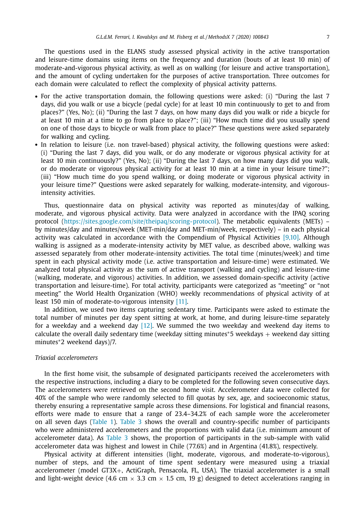The questions used in the ELANS study assessed physical activity in the active transportation and leisure-time domains using items on the frequency and duration (bouts of at least 10 min) of moderate-and-vigorous physical activity, as well as on walking (for leisure and active transportation), and the amount of cycling undertaken for the purposes of active transportation. Three outcomes for each domain were calculated to reflect the complexity of physical activity patterns.

- For the active transportation domain, the following questions were asked: (i) "During the last 7 days, did you walk or use a bicycle (pedal cycle) for at least 10 min continuously to get to and from places?" (Yes, No); (ii) "During the last 7 days, on how many days did you walk or ride a bicycle for at least 10 min at a time to go from place to place?"; (iii) "How much time did you usually spend on one of those days to bicycle or walk from place to place?" These questions were asked separately for walking and cycling.
- In relation to leisure (i.e. non travel-based) physical activity, the following questions were asked: (i) "During the last 7 days, did you walk, or do any moderate or vigorous physical activity for at least 10 min continuously?" (Yes, No); (ii) "During the last 7 days, on how many days did you walk, or do moderate or vigorous physical activity for at least 10 min at a time in your leisure time?"; (iii) "How much time do you spend walking, or doing moderate or vigorous physical activity in your leisure time?" Questions were asked separately for walking, moderate-intensity, and vigorousintensity activities.

Thus, questionnaire data on physical activity was reported as minutes/day of walking, moderate, and vigorous physical activity. Data were analyzed in accordance with the IPAQ scoring protocol [\(https://sites.google.com/site/theipaq/scoring-protocol\)](https://sites.google.com/site/theipaq/scoring-protocol). The metabolic equivalents (METs) – by minutes/day and minutes/week (MET-min/day and MET-min/week, respectively) – in each physical activity was calculated in accordance with the Compendium of Physical Activities [\[9,10\].](#page-12-0) Although walking is assigned as a moderate-intensity activity by MET value, as described above, walking was assessed separately from other moderate-intensity activities. The total time (minutes/week) and time spent in each physical activity mode (i.e. active transportation and leisure-time) were estimated. We analyzed total physical activity as the sum of active transport (walking and cycling) and leisure-time (walking, moderate, and vigorous) activities. In addition, we assessed domain-specific activity (active transportation and leisure-time). For total activity, participants were categorized as "meeting" or "not meeting" the World Health Organization (WHO) weekly recommendations of physical activity of at least 150 min of moderate-to-vigorous intensity [\[11\].](#page-12-0)

In addition, we used two items capturing sedentary time. Participants were asked to estimate the total number of minutes per day spent sitting at work, at home, and during leisure-time separately for a weekday and a weekend day  $[12]$ . We summed the two weekday and weekend day items to calculate the overall daily sedentary time (weekday sitting minutes\*5 weekdays + weekend day sitting minutes∗2 weekend days)/7.

# *Triaxial accelerometers*

In the first home visit, the subsample of designated participants received the accelerometers with the respective instructions, including a diary to be completed for the following seven consecutive days. The accelerometers were retrieved on the second home visit. Accelerometer data were collected for 40% of the sample who were randomly selected to fill quotas by sex, age, and socioeconomic status, thereby ensuring a representative sample across these dimensions. For logistical and financial reasons, efforts were made to ensure that a range of 23.4–34.2% of each sample wore the accelerometer on all seven days [\(Table](#page-3-0) 1). [Table](#page-10-0) 3 shows the overall and country-specific number of participants who were administered accelerometers and the proportions with valid data (i.e. minimum amount of accelerometer data). As [Table](#page-10-0) 3 shows, the proportion of participants in the sub-sample with valid accelerometer data was highest and lowest in Chile (77.6%) and in Argentina (41.8%), respectively.

Physical activity at different intensities (light, moderate, vigorous, and moderate-to-vigorous), number of steps, and the amount of time spent sedentary were measured using a triaxial accelerometer (model GT3X+, ActiGraph, Pensacola, FL, USA). The triaxial accelerometer is a small and light-weight device (4.6 cm  $\times$  3.3 cm  $\times$  1.5 cm, 19 g) designed to detect accelerations ranging in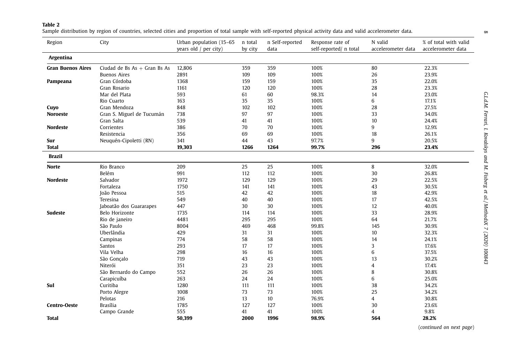#### <span id="page-7-0"></span>**Table 2**

Sample distribution by region of countries, selected cities and proportion of total sample with self-reported physical activity data and valid accelerometer data.

| Region                   | City                           | Urban population (15-65 | n total | n Self-reported | Response rate of       | N valid            | % of total with valid |
|--------------------------|--------------------------------|-------------------------|---------|-----------------|------------------------|--------------------|-----------------------|
|                          |                                | years old $/$ per city) | by city | data            | self-reported/ n total | accelerometer data | accelerometer data    |
| Argentina                |                                |                         |         |                 |                        |                    |                       |
| <b>Gran Buenos Aires</b> | Ciudad de Bs $As + Gran$ Bs As | 12,806                  | 359     | 359             | 100%                   | 80                 | 22.3%                 |
|                          | <b>Buenos Aires</b>            | 2891                    | 109     | 109             | 100%                   | 26                 | 23.9%                 |
| Pampeana                 | Gran Córdoba                   | 1368                    | 159     | 159             | 100%                   | 35                 | 22.0%                 |
|                          | Gran Rosario                   | 1161                    | 120     | 120             | 100%                   | 28                 | 23.3%                 |
|                          | Mar del Plata                  | 593                     | 61      | 60              | 98.3%                  | 14                 | 23.0%                 |
|                          | Rio Cuarto                     | 163                     | 35      | 35              | 100%                   | 6                  | 17.1%                 |
| Cuyo                     | Gran Mendoza                   | 848                     | 102     | 102             | 100%                   | 28                 | 27.5%                 |
| <b>Noroeste</b>          | Gran S. Miguel de Tucumán      | 738                     | 97      | 97              | 100%                   | 33                 | 34.0%                 |
|                          | Gran Salta                     | 539                     | 41      | 41              | 100%                   | 10                 | 24.4%                 |
| <b>Nordeste</b>          | Corrientes                     | 386                     | 70      | 70              | 100%                   | 9                  | 12.9%                 |
|                          | Resistencia                    | 356                     | 69      | 69              | 100%                   | 18                 | 26.1%                 |
| Sur                      | Neuquén-Cipoletti (RN)         | 341                     | 44      | 43              | 97.7%                  | 9                  | 20.5%                 |
| <b>Total</b>             |                                | 19,303                  | 1266    | 1264            | 99.7%                  | 296                | 23.4%                 |
| <b>Brazil</b>            |                                |                         |         |                 |                        |                    |                       |
| <b>Norte</b>             | Rio Branco                     | 209                     | 25      | 25              | 100%                   | 8                  | 32.0%                 |
|                          | Belém                          | 991                     | 112     | 112             | 100%                   | 30                 | 26.8%                 |
| Nordeste                 | Salvador                       | 1972                    | 129     | 129             | 100%                   | 29                 | 22.5%                 |
|                          | Fortaleza                      | 1750                    | 141     | 141             | 100%                   | 43                 | 30.5%                 |
|                          | João Pessoa                    | 515                     | 42      | 42              | 100%                   | 18                 | 42.9%                 |
|                          | Teresina                       | 549                     | 40      | 40              | 100%                   | 17                 | 42.5%                 |
|                          | Jaboatão dos Guararapes        | 447                     | 30      | 30              | 100%                   | 12                 | 40.0%                 |
| <b>Sudeste</b>           | Belo Horizonte                 | 1735                    | 114     | 114             | 100%                   | 33                 | 28.9%                 |
|                          | Rio de janeiro                 | 4481                    | 295     | 295             | 100%                   | 64                 | 21.7%                 |
|                          | São Paulo                      | 8004                    | 469     | 468             | 99.8%                  | 145                | 30.9%                 |
|                          | Uberlândia                     | 429                     | 31      | 31              | 100%                   | 10                 | 32.3%                 |
|                          | Campinas                       | 774                     | 58      | 58              | 100%                   | 14                 | 24.1%                 |
|                          | Santos                         | 293                     | 17      | 17              | 100%                   | 3                  | 17.6%                 |
|                          | Vila Velha                     | 298                     | 16      | 16              | 100%                   | 6                  | 37.5%                 |
|                          | São Gonçalo                    | 719                     | 43      | 43              | 100%                   | 13                 | 30.2%                 |
|                          | Niterói                        | 351                     | 23      | 23              | 100%                   | $\overline{4}$     | 17.4%                 |
|                          | São Bernardo do Campo          | 552                     | 26      | 26              | 100%                   | 8                  | 30.8%                 |
|                          | Carapicuíba                    | 263                     | 24      | 24              | 100%                   | 6                  | 25.0%                 |
| Sul                      | Curitiba                       | 1280                    | 111     | 111             | 100%                   | 38                 | 34.2%                 |
|                          | Porto Alegre                   | 1008                    | 73      | 73              | 100%                   | 25                 | 34.2%                 |
|                          | Pelotas                        | 216                     | 13      | 10              | 76.9%                  | 4                  | 30.8%                 |
| <b>Centro-Oeste</b>      | <b>Brasília</b>                | 1785                    | 127     | 127             | 100%                   | 30                 | 23.6%                 |
|                          | Campo Grande                   | 555                     | 41      | 41              | 100%                   | $\overline{4}$     | 9.8%                  |
| Total                    |                                | 50.399                  | 2000    | 1996            | 98.9%                  | 564                | 28.2%                 |

(*continued on next page*)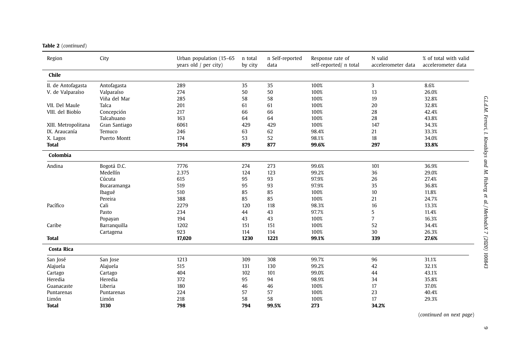#### **Table 2** (*continued*)

| Region              | City          | Urban population (15-65<br>years old $/$ per city) | n total<br>by city | n Self-reported<br>data | Response rate of<br>self-reported/ n total | N valid<br>accelerometer data | % of total with valid<br>accelerometer data |
|---------------------|---------------|----------------------------------------------------|--------------------|-------------------------|--------------------------------------------|-------------------------------|---------------------------------------------|
| Chile               |               |                                                    |                    |                         |                                            |                               |                                             |
| II. de Antofagasta  | Antofagasta   | 289                                                | 35                 | 35                      | 100%                                       | 3                             | 8.6%                                        |
| V. de Valparaíso    | Valparaíso    | 274                                                | 50                 | 50                      | 100%                                       | 13                            | 26.0%                                       |
|                     | Viña del Mar  | 285                                                | 58                 | 58                      | 100%                                       | 19                            | 32.8%                                       |
| VII. Del Maule      | Talca         | 201                                                | 61                 | 61                      | 100%                                       | 20                            | 32.8%                                       |
| VIII. del Biobío    | Concepción    | 217                                                | 66                 | 66                      | 100%                                       | 28                            | 42.4%                                       |
|                     | Talcahuano    | 163                                                | 64                 | 64                      | 100%                                       | 28                            | 43.8%                                       |
| XIII. Metropolitana | Gran Santiago | 6061                                               | 429                | 429                     | 100%                                       | 147                           | 34.3%                                       |
| IX. Araucanía       | Temuco        | 246                                                | 63                 | 62                      | 98.4%                                      | 21                            | 33.3%                                       |
| X. Lagos            | Puerto Montt  | 174                                                | 53                 | 52                      | 98.1%                                      | 18                            | 34.0%                                       |
| <b>Total</b>        |               | 7914                                               | 879                | 877                     | 99.6%                                      | 297                           | 33.8%                                       |
| Colombia            |               |                                                    |                    |                         |                                            |                               |                                             |
| Andina              | Bogotá D.C.   | 7776                                               | 274                | 273                     | 99.6%                                      | 101                           | 36.9%                                       |
|                     | Medellín      | 2.375                                              | 124                | 123                     | 99.2%                                      | 36                            | 29.0%                                       |
|                     | Cúcuta        | 615                                                | 95                 | 93                      | 97.9%                                      | 26                            | 27.4%                                       |
|                     | Bucaramanga   | 519                                                | 95                 | 93                      | 97.9%                                      | 35                            | 36.8%                                       |
|                     | Ibagué        | 510                                                | 85                 | 85                      | 100%                                       | 10                            | 11.8%                                       |
|                     | Pereira       | 388                                                | 85                 | 85                      | 100%                                       | 21                            | 24.7%                                       |
| Pacífico            | Cali          | 2279                                               | 120                | 118                     | 98.3%                                      | 16                            | 13.3%                                       |
|                     | Pasto         | 234                                                | 44                 | 43                      | 97.7%                                      | 5                             | 11.4%                                       |
|                     | Popayan       | 194                                                | 43                 | 43                      | 100%                                       | $\overline{7}$                | 16.3%                                       |
| Caribe              | Barranquilla  | 1202                                               | 151                | 151                     | 100%                                       | 52                            | 34.4%                                       |
|                     | Cartagena     | 923                                                | 114                | 114                     | 100%                                       | 30                            | 26.3%                                       |
| <b>Total</b>        |               | 17,020                                             | 1230               | 1221                    | 99.1%                                      | 339                           | 27.6%                                       |
| Costa Rica          |               |                                                    |                    |                         |                                            |                               |                                             |
| San José            | San Jose      | 1213                                               | 309                | 308                     | 99.7%                                      | 96                            | 31.1%                                       |
| Alajuela            | Alajuela      | 515                                                | 131                | 130                     | 99.2%                                      | 42                            | 32.1%                                       |
| Cartago             | Cartago       | 404                                                | 102                | 101                     | 99.0%                                      | 44                            | 43.1%                                       |
| Heredia             | Heredia       | 372                                                | 95                 | 94                      | 98.9%                                      | 34                            | 35.8%                                       |
| Guanacaste          | Liberia       | 180                                                | 46                 | 46                      | 100%                                       | 17                            | 37.0%                                       |
| Puntarenas          | Puntarenas    | 224                                                | 57                 | 57                      | 100%                                       | 23                            | 40.4%                                       |
| Limón               | Limón         | 218                                                | 58                 | 58                      | 100%                                       | 17                            | 29.3%                                       |
| <b>Total</b>        | 3130          | 798                                                | 794                | 99.5%                   | 273                                        | 34.2%                         |                                             |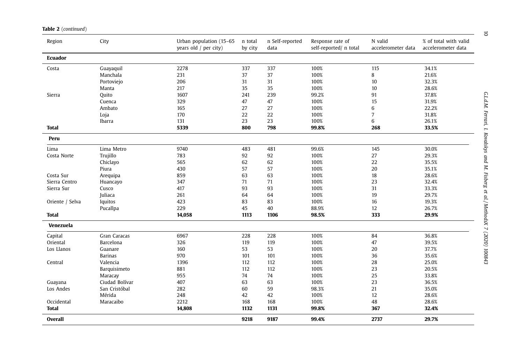| <b>Table 2</b> (continued) |
|----------------------------|
|                            |

| Region          | City           | Urban population (15-65<br>years old $/$ per city) | n total<br>by city | n Self-reported<br>data | Response rate of<br>self-reported/ n total | N valid<br>accelerometer data | % of total with valid<br>accelerometer data |
|-----------------|----------------|----------------------------------------------------|--------------------|-------------------------|--------------------------------------------|-------------------------------|---------------------------------------------|
| Ecuador         |                |                                                    |                    |                         |                                            |                               |                                             |
| Costa           | Guayaquil      | 2278                                               | 337                | 337                     | 100%                                       | 115                           | 34.1%                                       |
|                 | Manchala       | 231                                                | 37                 | 37                      | 100%                                       | 8                             | 21.6%                                       |
|                 | Portoviejo     | 206                                                | 31                 | 31                      | 100%                                       | 10                            | 32.3%                                       |
|                 | Manta          | 217                                                | 35                 | 35                      | 100%                                       | 10                            | 28.6%                                       |
| Sierra          | Quito          | 1607                                               | 241                | 239                     | 99.2%                                      | 91                            | 37.8%                                       |
|                 | Cuenca         | 329                                                | 47                 | 47                      | 100%                                       | 15                            | 31.9%                                       |
|                 | Ambato         | 165                                                | 27                 | 27                      | 100%                                       | 6                             | 22.2%                                       |
|                 | Loja           | 170                                                | 22                 | 22                      | 100%                                       | $\overline{7}$                | 31.8%                                       |
|                 | Ibarra         | 131                                                | 23                 | 23                      | 100%                                       | 6                             | 26.1%                                       |
| <b>Total</b>    |                | 5339                                               | 800                | 798                     | 99.8%                                      | 268                           | 33.5%                                       |
| Peru            |                |                                                    |                    |                         |                                            |                               |                                             |
| Lima            | Lima Metro     | 9740                                               | 483                | 481                     | 99.6%                                      | 145                           | 30.0%                                       |
| Costa Norte     | Trujillo       | 783                                                | 92                 | 92                      | 100%                                       | 27                            | 29.3%                                       |
|                 | Chiclayo       | 565                                                | 62                 | 62                      | 100%                                       | 22                            | 35.5%                                       |
|                 | Piura          | 430                                                | 57                 | 57                      | 100%                                       | 20                            | 35.1%                                       |
| Costa Sur       | Arequipa       | 859                                                | 63                 | 63                      | 100%                                       | 18                            | 28.6%                                       |
| Sierra Centro   | Huancayo       | 347                                                | 71                 | 71                      | 100%                                       | 23                            | 32.4%                                       |
| Sierra Sur      | Cusco          | 417                                                | 93                 | 93                      | 100%                                       | 31                            | 33.3%                                       |
|                 | Juliaca        | 261                                                | 64                 | 64                      | 100%                                       | 19                            | 29.7%                                       |
| Oriente / Selva | Iquitos        | 423                                                | 83                 | 83                      | 100%                                       | 16                            | 19.3%                                       |
|                 | Pucallpa       | 229                                                | 45                 | 40                      | 88.9%                                      | 12                            | 26.7%                                       |
| <b>Total</b>    |                | 14,058                                             | 1113               | 1106                    | 98.5%                                      | 333                           | 29.9%                                       |
| Venezuela       |                |                                                    |                    |                         |                                            |                               |                                             |
| Capital         | Gran Caracas   | 6967                                               | 228                | 228                     | 100%                                       | 84                            | 36.8%                                       |
| Oriental        | Barcelona      | 326                                                | 119                | 119                     | 100%                                       | 47                            | 39.5%                                       |
| Los Llanos      | Guanare        | 160                                                | 53                 | 53                      | 100%                                       | 20                            | 37.7%                                       |
|                 | <b>Barinas</b> | 970                                                | 101                | 101                     | 100%                                       | 36                            | 35.6%                                       |
| Central         | Valencia       | 1396                                               | 112                | 112                     | 100%                                       | 28                            | 25.0%                                       |
|                 | Barquisimeto   | 881                                                | 112                | 112                     | 100%                                       | 23                            | 20.5%                                       |
|                 | Maracay        | 955                                                | 74                 | 74                      | 100%                                       | 25                            | 33.8%                                       |
| Guayana         | Ciudad Bolívar | 407                                                | 63                 | 63                      | 100%                                       | 23                            | 36.5%                                       |
| Los Andes       | San Cristóbal  | 282                                                | 60                 | 59                      | 98.3%                                      | 21                            | 35.0%                                       |
|                 | Mérida         | 248                                                | 42                 | 42                      | 100%                                       | 12                            | 28.6%                                       |
| Occidental      | Maracaibo      | 2212                                               | 168                | 168                     | 100%                                       | 48                            | 28.6%                                       |
| <b>Total</b>    |                | 14,808                                             | 1132               | 1131                    | 99.8%                                      | 367                           | 32.4%                                       |
| <b>Overall</b>  |                |                                                    | 9218               | 9187                    | 99.4%                                      | 2737                          | 29.7%                                       |

10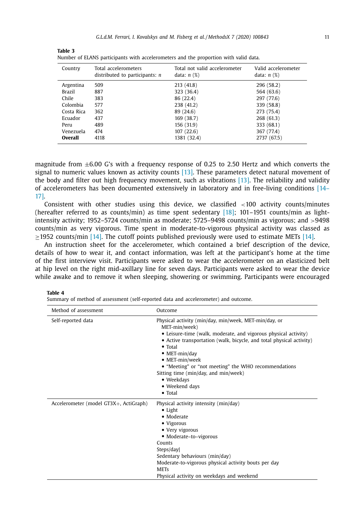| Country        | Total accelerometers<br>distributed to participants: $n$ | Total not valid accelerometer<br>data: $n$ $(\%)$ | Valid accelerometer<br>data: $n$ $(\%)$ |
|----------------|----------------------------------------------------------|---------------------------------------------------|-----------------------------------------|
| Argentina      | 509                                                      | 213 (41.8)                                        | 296 (58.2)                              |
| <b>Brazil</b>  | 887                                                      | 323 (36.4)                                        | 564 (63.6)                              |
| Chile          | 383                                                      | 86 (22.4)                                         | 297 (77.6)                              |
| Colombia       | 577                                                      | 238 (41.2)                                        | 339 (58.8)                              |
| Costa Rica     | 362                                                      | 89 (24.6)                                         | 273 (75.4)                              |
| Ecuador        | 437                                                      | 169 (38.7)                                        | 268 (61.3)                              |
| Peru           | 489                                                      | 156 (31.9)                                        | 333 (68.1)                              |
| Venezuela      | 474                                                      | 107(22.6)                                         | 367 (77.4)                              |
| <b>Overall</b> | 4118                                                     | 1381 (32.4)                                       | 2737 (67.5)                             |
|                |                                                          |                                                   |                                         |

<span id="page-10-0"></span>**Table 3** Number of ELANS participants with accelerometers and the proportion with valid data.

magnitude from  $\pm 6.00$  G's with a frequency response of 0.25 to 2.50 Hertz and which converts the signal to numeric values known as activity counts [\[13\].](#page-12-0) These parameters detect natural movement of the body and filter out high frequency movement, such as vibrations [\[13\].](#page-12-0) The reliability and validity of [accelerometers](#page-12-0) has been documented extensively in laboratory and in free-living conditions [14– 17].

Consistent with other studies using this device, we classified <100 activity counts/minutes (hereafter referred to as counts/min) as time spent sedentary [\[18\];](#page-13-0) 101–1951 counts/min as lightintensity activity; 1952–5724 counts/min as moderate; 5725–9498 counts/min as vigorous; and >9498 counts/min as very vigorous. Time spent in moderate-to-vigorous physical activity was classed as  $\geq$ 1952 counts/min [\[14\].](#page-12-0) The cutoff points published previously were used to estimate METs [14].

An instruction sheet for the accelerometer, which contained a brief description of the device, details of how to wear it, and contact information, was left at the participant's home at the time of the first interview visit. Participants were asked to wear the accelerometer on an elasticized belt at hip level on the right mid-axillary line for seven days. Participants were asked to wear the device while awake and to remove it when sleeping, showering or swimming. Participants were encouraged

### **Table 4**

Summary of method of assessment (self-reported data and accelerometer) and outcome.

| Method of assessment                   | Outcome                                                                                                                                                                                                                                                                                                                                                                                                                            |
|----------------------------------------|------------------------------------------------------------------------------------------------------------------------------------------------------------------------------------------------------------------------------------------------------------------------------------------------------------------------------------------------------------------------------------------------------------------------------------|
| Self-reported data                     | Physical activity (min/day, min/week, MET-min/day, or<br>MET-min/week)<br>• Leisure-time (walk, moderate, and vigorous physical activity)<br>• Active transportation (walk, bicycle, and total physical activity)<br>$\bullet$ Total<br>$\bullet$ MET-min/day<br>• MET-min/week<br>• "Meeting" or "not meeting" the WHO recommendations<br>Sitting time (min/day, and min/week)<br>• Weekdays<br>• Weekend days<br>$\bullet$ Total |
| Accelerometer (model GT3X+, ActiGraph) | Physical activity intensity (min/day)<br>$\bullet$ Light<br>· Moderate<br>• Vigorous<br>• Very vigorous<br>• Moderate-to-vigorous<br>Counts<br>Steps/day<br>Sedentary behaviours (min/day)<br>Moderate-to-vigorous physical activity bouts per day<br><b>METs</b><br>Physical activity on weekdays and weekend                                                                                                                     |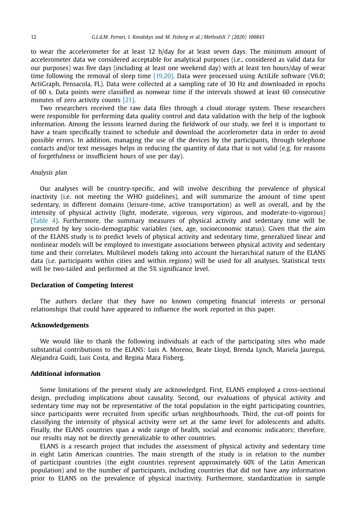to wear the accelerometer for at least 12 h/day for at least seven days. The minimum amount of accelerometer data we considered acceptable for analytical purposes (i.e., considered as valid data for our purposes) was five days (including at least one weekend day) with at least ten hours/day of wear time following the removal of sleep time [\[19,20\].](#page-13-0) Data were processed using ActiLife software (V6.0; ActiGraph, Pensacola, FL). Data were collected at a sampling rate of 30 Hz and downloaded in epochs of 60 s. Data points were classified as nonwear time if the intervals showed at least 60 consecutive minutes of zero activity counts [\[21\].](#page-13-0)

Two researchers received the raw data files through a cloud storage system. These researchers were responsible for performing data quality control and data validation with the help of the logbook information. Among the lessons learned during the fieldwork of our study, we feel it is important to have a team specifically trained to schedule and download the accelerometer data in order to avoid possible errors. In addition, managing the use of the devices by the participants, through telephone contacts and/or text messages helps in reducing the quantity of data that is not valid (e.g. for reasons of forgetfulness or insufficient hours of use per day).

### *Analysis plan*

Our analyses will be country-specific, and will involve describing the prevalence of physical inactivity (i.e. not meeting the WHO guidelines), and will summarize the amount of time spent sedentary, in different domains (leisure-time, active transportation) as well as overall, and by the intensity of physical activity (light, moderate, vigorous, very vigorous, and moderate-to-vigorous) [\(Table](#page-10-0) 4). Furthermore, the summary measures of physical activity and sedentary time will be presented by key socio-demographic variables (sex, age, socioeconomic status). Given that the aim of the ELANS study is to predict levels of physical activity and sedentary time, generalized linear and nonlinear models will be employed to investigate associations between physical activity and sedentary time and their correlates. Multilevel models taking into account the hierarchical nature of the ELANS data (i.e. participants within cities and within regions) will be used for all analyses. Statistical tests will be two-tailed and performed at the 5% significance level.

### **Declaration of Competing Interest**

The authors declare that they have no known competing financial interests or personal relationships that could have appeared to influence the work reported in this paper.

### **Acknowledgements**

We would like to thank the following individuals at each of the participating sites who made substantial contributions to the ELANS: Luis A. Moreno, Beate Lloyd, Brenda Lynch, Mariela Jauregui, Alejandra Guidi, Luis Costa, and Regina Mara Fisberg.

# **Additional information**

Some limitations of the present study are acknowledged. First, ELANS employed a cross-sectional design, precluding implications about causality. Second, our evaluations of physical activity and sedentary time may not be representative of the total population in the eight participating countries, since participants were recruited from specific urban neighbourhoods. Third, the cut-off points for classifying the intensity of physical activity were set at the same level for adolescents and adults. Finally, the ELANS countries span a wide range of health, social and economic indicators; therefore, our results may not be directly generalizable to other countries.

ELANS is a research project that includes the assessment of physical activity and sedentary time in eight Latin American countries. The main strength of the study is in relation to the number of participant countries (the eight countries represent approximately 60% of the Latin American population) and to the number of participants, including countries that did not have any information prior to ELANS on the prevalence of physical inactivity. Furthermore, standardization in sample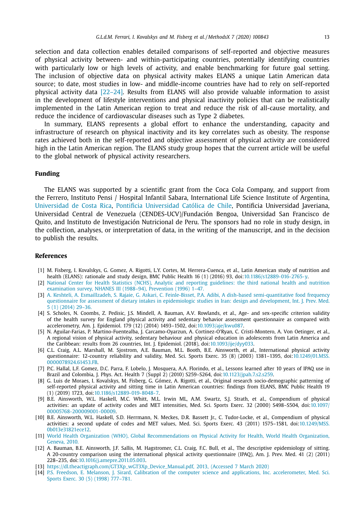<span id="page-12-0"></span>selection and data collection enables detailed comparisons of self-reported and objective measures of physical activity between- and within-participating countries, potentially identifying countries with particularly low or high levels of activity, and enable benchmarking for future goal setting. The inclusion of objective data on physical activity makes ELANS a unique Latin American data source; to date, most studies in low- and middle-income countries have had to rely on self-reported physical activity data [\[22–24\].](#page-13-0) Results from ELANS will also provide valuable information to assist in the development of lifestyle interventions and physical inactivity policies that can be realistically implemented in the Latin American region to treat and reduce the risk of all-cause mortality, and reduce the incidence of cardiovascular diseases such as Type 2 diabetes.

In summary, ELANS represents a global effort to enhance the understanding, capacity and infrastructure of research on physical inactivity and its key correlates such as obesity. The response rates achieved both in the self-reported and objective assessment of physical activity are considered high in the Latin American region. The ELANS study group hopes that the current article will be useful to the global network of physical activity researchers.

# **Funding**

The ELANS was supported by a scientific grant from the Coca Cola Company, and support from the Ferrero, Instituto Pensi / Hospital Infantil Sabara, International Life Science Institute of Argentina, [Universidad](http://dx.doi.org/10.13039/501100005298) de Costa Rica, Pontificia [Universidad](http://dx.doi.org/10.13039/501100009610) Católica de Chile, Pontificia Universidad Javeriana, Universidad Central de Venezuela (CENDES-UCV)/Fundación Bengoa, Universidad San Francisco de Quito, and Instituto de Investigación Nutricional de Peru. The sponsors had no role in study design, in the collection, analyses, or interpretation of data, in the writing of the manuscript, and in the decision to publish the results.

### **References**

- [1] M. Fisberg, I. Kovalskys, G. Gomez, A. Rigotti, L.Y. Cortes, M. Herrera-Cuenca, et al., Latin American study of nutrition and health (ELANS): rationale and study design, BMC Public Health 16 (1) (2016) 93, doi[:10.1186/s12889-016-2765-y.](https://doi.org/10.1186/s12889-016-2765-y)
- [2] National Center for Health Statistics (NCHS), Analytic and reporting guidelines: the third national health and nutrition [examination](http://refhub.elsevier.com/S2215-0161(20)30062-5/sbref0002) survey, NHANES III (1988–94), Prevention (1996) 1–47.
- [3] A. [Keshteli,](http://refhub.elsevier.com/S2215-0161(20)30062-5/sbref0003) A. [Esmaillzadeh,](http://refhub.elsevier.com/S2215-0161(20)30062-5/sbref0003) S. [Rajaie,](http://refhub.elsevier.com/S2215-0161(20)30062-5/sbref0003) G. [Askari,](http://refhub.elsevier.com/S2215-0161(20)30062-5/sbref0003) C. [Feinle-Bisset,](http://refhub.elsevier.com/S2215-0161(20)30062-5/sbref0003) P.A. [Adibi,](http://refhub.elsevier.com/S2215-0161(20)30062-5/sbref0003) A dish-based [semi-quantitative](http://refhub.elsevier.com/S2215-0161(20)30062-5/sbref0003) food frequency questionnaire for assessment of dietary intakes in epidemiologic studies in Iran: design and development, Int. J. Prev. Med. 5 (1) (2014) 29–36.
- [4] S. Scholes, N. Coombs, Z. Pedisic, J.S. Mindell, A. Bauman, A.V. Rowlands, et al., Age- and sex-specific criterion validity of the health survey for England physical activity and sedentary behavior assessment questionnaire as compared with accelerometry, Am. J. Epidemiol. 179 (12) (2014) 1493–1502, doi[:10.1093/aje/kwu087.](https://doi.org/10.1093/aje/kwu087)
- [5] N. Aguilar-Farias, P. Martino-Fuentealba, J. Carcamo-Oyarzun, A. Cortinez-O'Ryan, C. Cristi-Montero, A. Von Oetinger, et al., A regional vision of physical activity, sedentary behaviour and physical education in adolescents from Latin America and the Caribbean: results from 26 countries, Int. J. Epidemiol. (2018), doi[:10.1093/ije/dyy033.](https://doi.org/10.1093/ije/dyy033)
- [6] C.L. Craig, A.L. Marshall, M. Sjostrom, A.E. Bauman, M.L. Booth, B.E. Ainsworth, et al., International physical activity questionnaire: 12-country reliability and validity, Med. Sci. Sports Exerc. 35 (8) (2003) 1381-1395, doi:10.1249/01.MSS. [0000078924.61453.FB.](https://doi.org/10.1249/01.MSS.0000078924.61453.FB)
- [7] P.C. Hallal, L.F. Gomez, D.C. Parra, F. Lobelo, J. Mosquera, A.A. Florindo, et al., Lessons learned after 10 years of IPAQ use in Brazil and Colombia, J. Phys. Act. Health 7 (Suppl 2) (2010) S259–S264, doi[:10.1123/jpah.7.s2.s259.](https://doi.org/10.1123/jpah.7.s2.s259)
- [8] G. Luis de Moraes, I. Kovalskys, M. Fisberg, G. Gómez, A. Rigotti, et al., Original research socio-demographic patterning of self-reported physical activity and sitting time in Latin American countries: findings from ELANS, BMC Public Health 19 (1) (2019) 1723, doi[:10.1186/s12889-019-8048-7.](https://doi.org/10.1186/s12889-019-8048-7)
- [9] B.E. Ainsworth, W.L. Haskell, M.C. Whitt, M.L. Irwin ML, A.M. Swartz, S.J. Strath, et al., Compendium of physical activities: an update of activity codes and MET intensities, Med. Sci. Sports Exerc. 32 (2000) S498–S504, doi:10.1097/ [00005768-200009001-00009.](https://doi.org/10.1097/00005768-200009001-00009)
- [10] B.E. Ainsworth, W.L. Haskell, S.D. Herrmann, N. Meckes, D.R. Bassett Jr., C. Tudor-Locke, et al., Compendium of physical activities: a second update of codes and MET values, Med. Sci. Sports Exerc. 43 (2011) 1575–1581, doi:10.1249/MSS. [0b013e31821ece12.](https://doi.org/10.1249/MSS.0b013e31821ece12)
- [11] World Health Organization (WHO), Global [Recommendations](http://refhub.elsevier.com/S2215-0161(20)30062-5/sbref0011) on Physical Activity for Health, World Health Organization, Geneva, 2010.
- [12] A. Bauman, B.E. Ainsworth, J.F. Sallis, M. Hagstromer, C.L. Craig, F.C. Bull, et al., The descriptive epidemiology of sitting. A 20-country comparison using the international physical activity questionnaire (IPAQ), Am. J. Prev. Med. 41 (2) (2011) 228–235, doi[:10.1016/j.amepre.2011.05.003.](https://doi.org/10.1016/j.amepre.2011.05.003)
- [13] [https://dl.theactigraph.com/GT3Xp\\_wGT3Xp\\_Device\\_Manual.pdf,](https://dl.theactigraph.com/GT3Xp_wGT3Xp_Device_Manual.pdf) 2013, (Accessed 7 March 2020)
- [14] P.S. [Freedson,](http://refhub.elsevier.com/S2215-0161(20)30062-5/sbref0013) E. [Melanson,](http://refhub.elsevier.com/S2215-0161(20)30062-5/sbref0013) J. [Sirard,](http://refhub.elsevier.com/S2215-0161(20)30062-5/sbref0013) Calibration of the computer science and applications, Inc. [accelerometer,](http://refhub.elsevier.com/S2215-0161(20)30062-5/sbref0013) Med. Sci. Sports Exerc. 30 (5) (1998) 777–781.